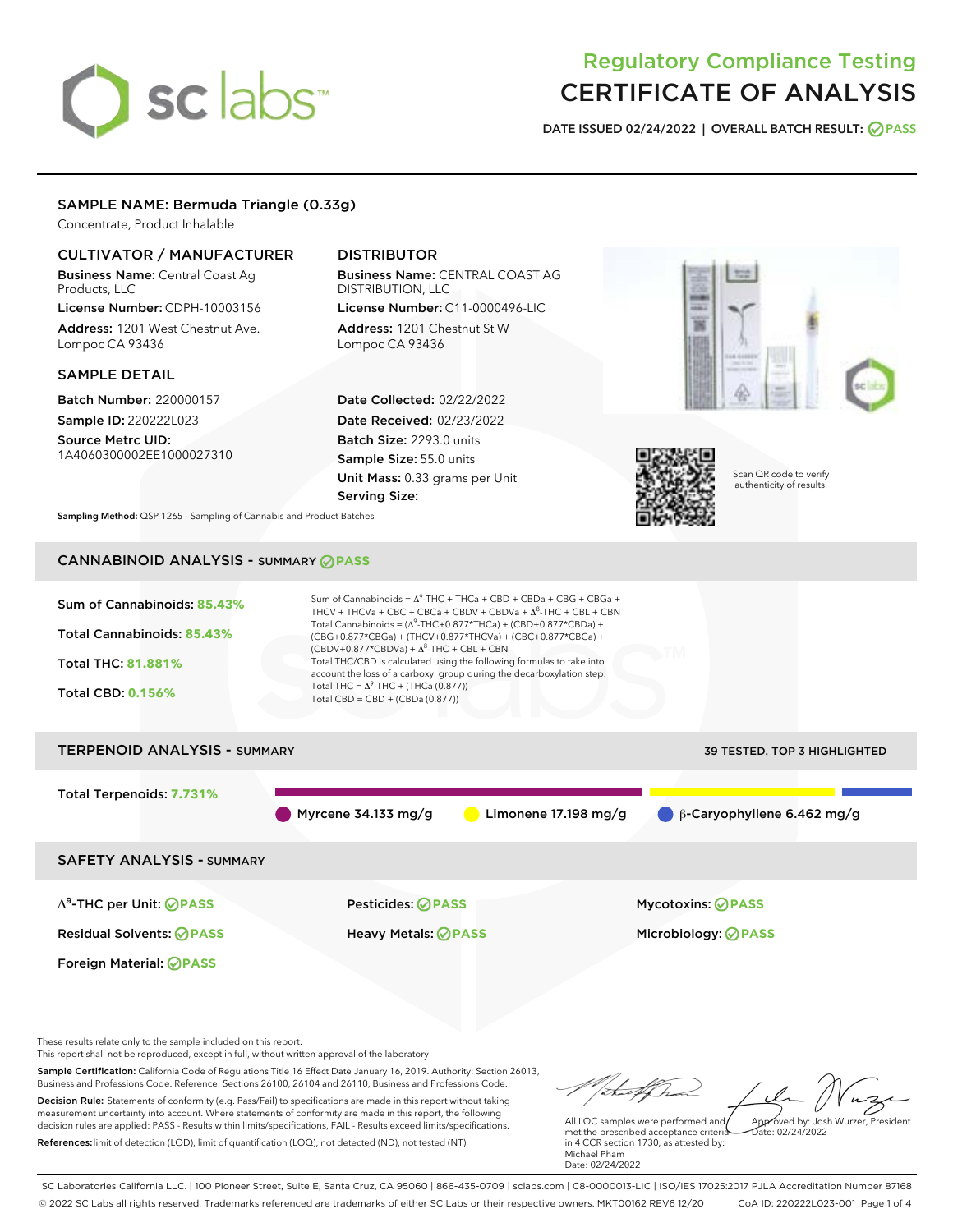# sclabs<sup>\*</sup>

# Regulatory Compliance Testing CERTIFICATE OF ANALYSIS

DATE ISSUED 02/24/2022 | OVERALL BATCH RESULT: @ PASS

## SAMPLE NAME: Bermuda Triangle (0.33g)

Concentrate, Product Inhalable

## CULTIVATOR / MANUFACTURER

Business Name: Central Coast Ag Products, LLC License Number: CDPH-10003156

Address: 1201 West Chestnut Ave. Lompoc CA 93436

#### SAMPLE DETAIL

Batch Number: 220000157 Sample ID: 220222L023

Source Metrc UID: 1A4060300002EE1000027310

# DISTRIBUTOR

Business Name: CENTRAL COAST AG DISTRIBUTION, LLC License Number: C11-0000496-LIC

Address: 1201 Chestnut St W Lompoc CA 93436

Date Collected: 02/22/2022 Date Received: 02/23/2022 Batch Size: 2293.0 units Sample Size: 55.0 units Unit Mass: 0.33 grams per Unit Serving Size:





Scan QR code to verify authenticity of results.

Sampling Method: QSP 1265 - Sampling of Cannabis and Product Batches

# CANNABINOID ANALYSIS - SUMMARY **PASS**



SAFETY ANALYSIS - SUMMARY

Δ9-THC per Unit: **PASS** Pesticides: **PASS** Mycotoxins: **PASS**

Foreign Material: **PASS**

Residual Solvents: **PASS** Heavy Metals: **PASS** Microbiology: **PASS**

These results relate only to the sample included on this report.

This report shall not be reproduced, except in full, without written approval of the laboratory.

Sample Certification: California Code of Regulations Title 16 Effect Date January 16, 2019. Authority: Section 26013, Business and Professions Code. Reference: Sections 26100, 26104 and 26110, Business and Professions Code. Decision Rule: Statements of conformity (e.g. Pass/Fail) to specifications are made in this report without taking

measurement uncertainty into account. Where statements of conformity are made in this report, the following decision rules are applied: PASS - Results within limits/specifications, FAIL - Results exceed limits/specifications. References:limit of detection (LOD), limit of quantification (LOQ), not detected (ND), not tested (NT)

Approved by: Josh Wurzer, President

 $ate: 02/24/2022$ 

All LQC samples were performed and met the prescribed acceptance criteria in 4 CCR section 1730, as attested by: Michael Pham Date: 02/24/2022

SC Laboratories California LLC. | 100 Pioneer Street, Suite E, Santa Cruz, CA 95060 | 866-435-0709 | sclabs.com | C8-0000013-LIC | ISO/IES 17025:2017 PJLA Accreditation Number 87168 © 2022 SC Labs all rights reserved. Trademarks referenced are trademarks of either SC Labs or their respective owners. MKT00162 REV6 12/20 CoA ID: 220222L023-001 Page 1 of 4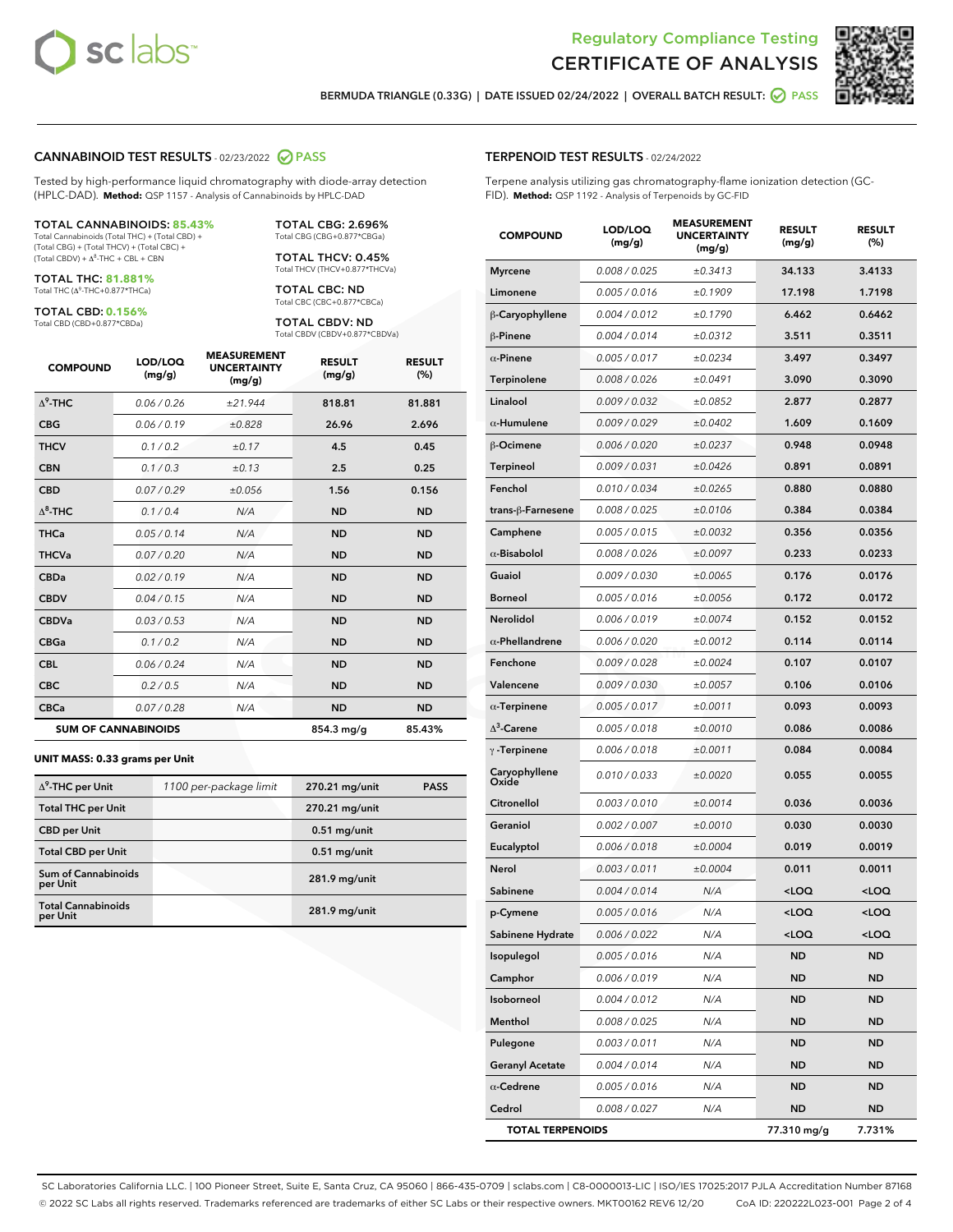



BERMUDA TRIANGLE (0.33G) | DATE ISSUED 02/24/2022 | OVERALL BATCH RESULT:  $\bigcirc$  PASS

#### CANNABINOID TEST RESULTS - 02/23/2022 2 PASS

Tested by high-performance liquid chromatography with diode-array detection (HPLC-DAD). **Method:** QSP 1157 - Analysis of Cannabinoids by HPLC-DAD

#### TOTAL CANNABINOIDS: **85.43%**

Total Cannabinoids (Total THC) + (Total CBD) + (Total CBG) + (Total THCV) + (Total CBC) +  $(Total$  CBDV) +  $\Delta$ <sup>8</sup>-THC + CBL + CBN

TOTAL THC: **81.881%** Total THC (Δ<sup>9</sup> -THC+0.877\*THCa)

TOTAL CBD: **0.156%**

Total CBD (CBD+0.877\*CBDa)

TOTAL CBG: 2.696% Total CBG (CBG+0.877\*CBGa)

TOTAL THCV: 0.45% Total THCV (THCV+0.877\*THCVa)

TOTAL CBC: ND Total CBC (CBC+0.877\*CBCa)

TOTAL CBDV: ND Total CBDV (CBDV+0.877\*CBDVa)

| <b>COMPOUND</b>  | LOD/LOQ<br>(mg/g)          | <b>MEASUREMENT</b><br><b>UNCERTAINTY</b><br>(mg/g) | <b>RESULT</b><br>(mg/g) | <b>RESULT</b><br>(%) |
|------------------|----------------------------|----------------------------------------------------|-------------------------|----------------------|
| $\Lambda^9$ -THC | 0.06/0.26                  | ±21.944                                            | 818.81                  | 81.881               |
| <b>CBG</b>       | 0.06 / 0.19                | ±0.828                                             | 26.96                   | 2.696                |
| <b>THCV</b>      | 0.1 / 0.2                  | ±0.17                                              | 4.5                     | 0.45                 |
| <b>CBN</b>       | 0.1/0.3                    | ±0.13                                              | 2.5                     | 0.25                 |
| <b>CBD</b>       | 0.07/0.29                  | ±0.056                                             | 1.56                    | 0.156                |
| $\Delta^8$ -THC  | 0.1/0.4                    | N/A                                                | <b>ND</b>               | <b>ND</b>            |
| <b>THCa</b>      | 0.05/0.14                  | N/A                                                | <b>ND</b>               | <b>ND</b>            |
| <b>THCVa</b>     | 0.07/0.20                  | N/A                                                | <b>ND</b>               | <b>ND</b>            |
| <b>CBDa</b>      | 0.02/0.19                  | N/A                                                | <b>ND</b>               | <b>ND</b>            |
| <b>CBDV</b>      | 0.04 / 0.15                | N/A                                                | <b>ND</b>               | <b>ND</b>            |
| <b>CBDVa</b>     | 0.03 / 0.53                | N/A                                                | <b>ND</b>               | <b>ND</b>            |
| <b>CBGa</b>      | 0.1 / 0.2                  | N/A                                                | <b>ND</b>               | <b>ND</b>            |
| <b>CBL</b>       | 0.06 / 0.24                | N/A                                                | <b>ND</b>               | <b>ND</b>            |
| <b>CBC</b>       | 0.2 / 0.5                  | N/A                                                | <b>ND</b>               | <b>ND</b>            |
| <b>CBCa</b>      | 0.07/0.28                  | N/A                                                | <b>ND</b>               | <b>ND</b>            |
|                  | <b>SUM OF CANNABINOIDS</b> |                                                    | 854.3 mg/g              | 85.43%               |

#### **UNIT MASS: 0.33 grams per Unit**

| $\Delta^9$ -THC per Unit               | 1100 per-package limit | 270.21 mg/unit | <b>PASS</b> |
|----------------------------------------|------------------------|----------------|-------------|
| <b>Total THC per Unit</b>              |                        | 270.21 mg/unit |             |
| <b>CBD</b> per Unit                    |                        | $0.51$ mg/unit |             |
| <b>Total CBD per Unit</b>              |                        | $0.51$ mg/unit |             |
| <b>Sum of Cannabinoids</b><br>per Unit |                        | 281.9 mg/unit  |             |
| <b>Total Cannabinoids</b><br>per Unit  |                        | 281.9 mg/unit  |             |

| <b>COMPOUND</b>         | <b>LOD/LOQ</b><br>(mg/g) | <b>UNCERTAINTY</b><br>(mg/g) | <b>RESULT</b><br>(mg/g)                          | <b>RESULT</b><br>$(\%)$ |
|-------------------------|--------------------------|------------------------------|--------------------------------------------------|-------------------------|
| <b>Myrcene</b>          | 0.008 / 0.025            | ±0.3413                      | 34.133                                           | 3.4133                  |
| Limonene                | 0.005 / 0.016            | ±0.1909                      | 17.198                                           | 1.7198                  |
| β-Caryophyllene         | 0.004 / 0.012            | ±0.1790                      | 6.462                                            | 0.6462                  |
| $\beta$ -Pinene         | 0.004 / 0.014            | ±0.0312                      | 3.511                                            | 0.3511                  |
| $\alpha$ -Pinene        | 0.005 / 0.017            | ±0.0234                      | 3.497                                            | 0.3497                  |
| <b>Terpinolene</b>      | 0.008 / 0.026            | ±0.0491                      | 3.090                                            | 0.3090                  |
| Linalool                | 0.009 / 0.032            | ±0.0852                      | 2.877                                            | 0.2877                  |
| $\alpha$ -Humulene      | 0.009/0.029              | ±0.0402                      | 1.609                                            | 0.1609                  |
| β-Ocimene               | 0.006 / 0.020            | ±0.0237                      | 0.948                                            | 0.0948                  |
| Terpineol               | 0.009 / 0.031            | ±0.0426                      | 0.891                                            | 0.0891                  |
| Fenchol                 | 0.010 / 0.034            | ±0.0265                      | 0.880                                            | 0.0880                  |
| trans-β-Farnesene       | 0.008 / 0.025            | ±0.0106                      | 0.384                                            | 0.0384                  |
| Camphene                | 0.005 / 0.015            | ±0.0032                      | 0.356                                            | 0.0356                  |
| $\alpha$ -Bisabolol     | 0.008 / 0.026            | ±0.0097                      | 0.233                                            | 0.0233                  |
| Guaiol                  | 0.009 / 0.030            | ±0.0065                      | 0.176                                            | 0.0176                  |
| <b>Borneol</b>          | 0.005 / 0.016            | ±0.0056                      | 0.172                                            | 0.0172                  |
| Nerolidol               | 0.006 / 0.019            | ±0.0074                      | 0.152                                            | 0.0152                  |
| $\alpha$ -Phellandrene  | 0.006 / 0.020            | ±0.0012                      | 0.114                                            | 0.0114                  |
| Fenchone                | 0.009 / 0.028            | ±0.0024                      | 0.107                                            | 0.0107                  |
| Valencene               | 0.009 / 0.030            | ±0.0057                      | 0.106                                            | 0.0106                  |
| $\alpha$ -Terpinene     | 0.005 / 0.017            | ±0.0011                      | 0.093                                            | 0.0093                  |
| $\Delta^3$ -Carene      | 0.005 / 0.018            | ±0.0010                      | 0.086                                            | 0.0086                  |
| $\gamma$ -Terpinene     | 0.006 / 0.018            | ±0.0011                      | 0.084                                            | 0.0084                  |
| Caryophyllene<br>Oxide  | 0.010 / 0.033            | ±0.0020                      | 0.055                                            | 0.0055                  |
| Citronellol             | 0.003 / 0.010            | ±0.0014                      | 0.036                                            | 0.0036                  |
| Geraniol                | 0.002 / 0.007            | ±0.0010                      | 0.030                                            | 0.0030                  |
| Eucalyptol              | 0.006 / 0.018            | ±0.0004                      | 0.019                                            | 0.0019                  |
| Nerol                   | 0.003 / 0.011            | ±0.0004                      | 0.011                                            | 0.0011                  |
| Sabinene                | 0.004 / 0.014            | N/A                          | <loq< th=""><th><loq< th=""></loq<></th></loq<>  | <loq< th=""></loq<>     |
| p-Cymene                | 0.005 / 0.016            | N/A                          | <loq< th=""><th><math>&lt;</math>LOQ</th></loq<> | $<$ LOQ                 |
| Sabinene Hydrate        | 0.006 / 0.022            | N/A                          | <loq< th=""><th><loq< th=""></loq<></th></loq<>  | <loq< th=""></loq<>     |
| Isopulegol              | 0.005 / 0.016            | N/A                          | ND                                               | ND                      |
| Camphor                 | 0.006 / 0.019            | N/A                          | <b>ND</b>                                        | <b>ND</b>               |
| Isoborneol              | 0.004 / 0.012            | N/A                          | <b>ND</b>                                        | <b>ND</b>               |
| Menthol                 | 0.008 / 0.025            | N/A                          | ND                                               | ND                      |
| Pulegone                | 0.003 / 0.011            | N/A                          | ND                                               | <b>ND</b>               |
| <b>Geranyl Acetate</b>  | 0.004 / 0.014            | N/A                          | <b>ND</b>                                        | ND                      |
| $\alpha$ -Cedrene       | 0.005 / 0.016            | N/A                          | ND                                               | ND                      |
| Cedrol                  | 0.008 / 0.027            | N/A                          | <b>ND</b>                                        | ND                      |
| <b>TOTAL TERPENOIDS</b> |                          |                              | 77.310 mg/g                                      | 7.731%                  |

SC Laboratories California LLC. | 100 Pioneer Street, Suite E, Santa Cruz, CA 95060 | 866-435-0709 | sclabs.com | C8-0000013-LIC | ISO/IES 17025:2017 PJLA Accreditation Number 87168 © 2022 SC Labs all rights reserved. Trademarks referenced are trademarks of either SC Labs or their respective owners. MKT00162 REV6 12/20 CoA ID: 220222L023-001 Page 2 of 4

# TERPENOID TEST RESULTS - 02/24/2022

Terpene analysis utilizing gas chromatography-flame ionization detection (GC-FID). **Method:** QSP 1192 - Analysis of Terpenoids by GC-FID

MEASUREMENT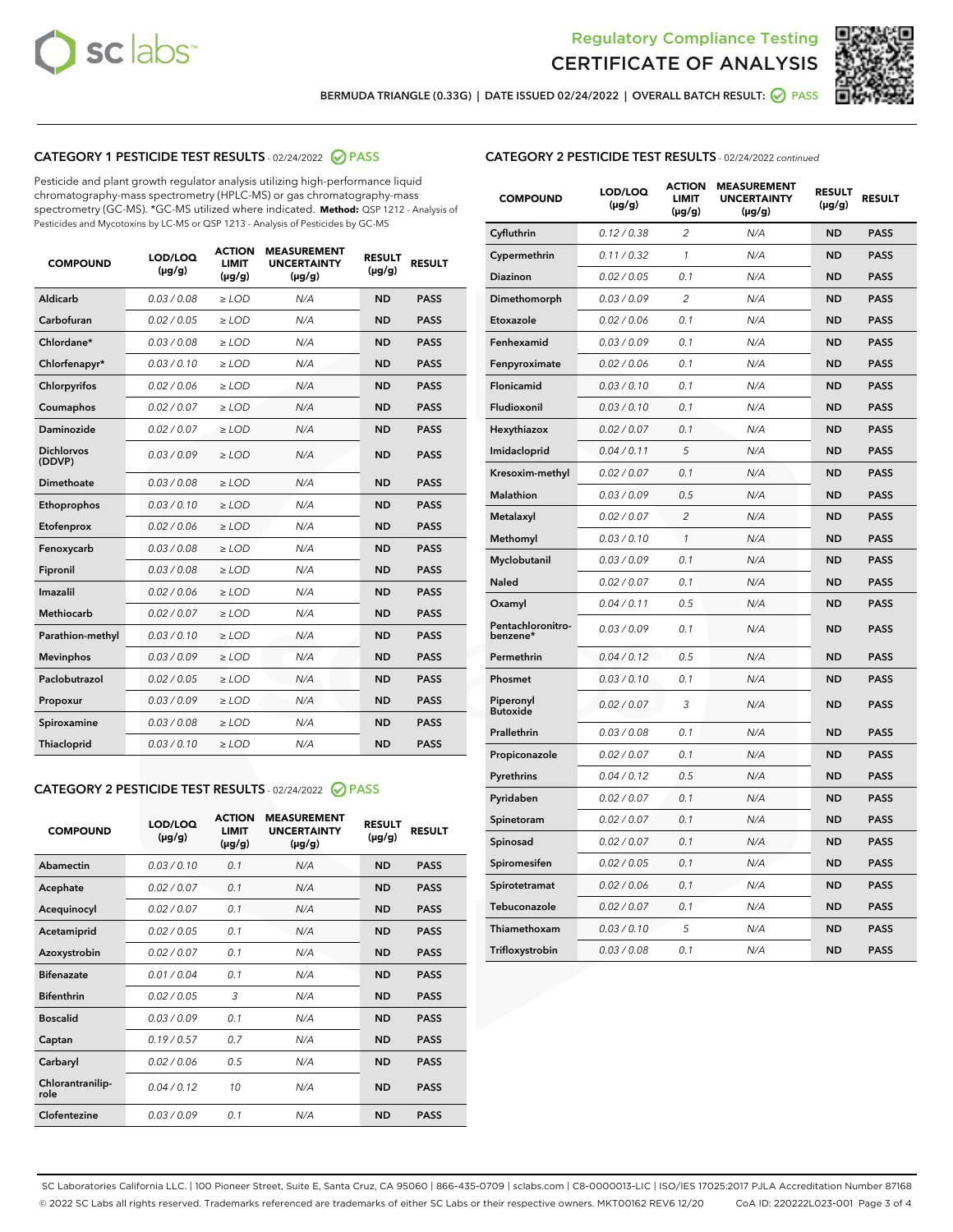



BERMUDA TRIANGLE (0.33G) | DATE ISSUED 02/24/2022 | OVERALL BATCH RESULT: **⊘** PASS

# CATEGORY 1 PESTICIDE TEST RESULTS - 02/24/2022 2 PASS

Pesticide and plant growth regulator analysis utilizing high-performance liquid chromatography-mass spectrometry (HPLC-MS) or gas chromatography-mass spectrometry (GC-MS). \*GC-MS utilized where indicated. **Method:** QSP 1212 - Analysis of Pesticides and Mycotoxins by LC-MS or QSP 1213 - Analysis of Pesticides by GC-MS

| 0.03 / 0.08<br>Aldicarb<br>$\ge$ LOD<br>N/A<br><b>ND</b><br>Carbofuran<br>0.02/0.05<br>$>$ LOD<br>N/A<br><b>ND</b> | <b>PASS</b><br><b>PASS</b> |
|--------------------------------------------------------------------------------------------------------------------|----------------------------|
|                                                                                                                    |                            |
|                                                                                                                    |                            |
| Chlordane*<br>0.03 / 0.08<br>N/A<br><b>ND</b><br>$\ge$ LOD                                                         | <b>PASS</b>                |
| 0.03/0.10<br><b>ND</b><br>Chlorfenapyr*<br>$\ge$ LOD<br>N/A                                                        | <b>PASS</b>                |
| 0.02/0.06<br>N/A<br><b>ND</b><br>Chlorpyrifos<br>$\ge$ LOD                                                         | <b>PASS</b>                |
| Coumaphos<br>0.02 / 0.07<br>$\geq$ LOD<br>N/A<br><b>ND</b>                                                         | <b>PASS</b>                |
| Daminozide<br>0.02 / 0.07<br>$>$ LOD<br>N/A<br><b>ND</b>                                                           | <b>PASS</b>                |
| <b>Dichlorvos</b><br>0.03 / 0.09<br>N/A<br>$\ge$ LOD<br><b>ND</b><br>(DDVP)                                        | <b>PASS</b>                |
| Dimethoate<br>0.03/0.08<br>N/A<br><b>ND</b><br>$>$ LOD                                                             | <b>PASS</b>                |
| 0.03/0.10<br><b>ND</b><br>Ethoprophos<br>$>$ LOD<br>N/A                                                            | <b>PASS</b>                |
| 0.02 / 0.06<br>N/A<br><b>ND</b><br>Etofenprox<br>$\ge$ LOD                                                         | <b>PASS</b>                |
| 0.03 / 0.08<br>N/A<br><b>ND</b><br>Fenoxycarb<br>$\ge$ LOD                                                         | <b>PASS</b>                |
| 0.03 / 0.08<br>$\ge$ LOD<br>N/A<br><b>ND</b><br>Fipronil                                                           | <b>PASS</b>                |
| Imazalil<br>0.02 / 0.06<br>$>$ LOD<br>N/A<br><b>ND</b>                                                             | <b>PASS</b>                |
| <b>Methiocarb</b><br>0.02 / 0.07<br>$\ge$ LOD<br>N/A<br><b>ND</b>                                                  | <b>PASS</b>                |
| N/A<br><b>ND</b><br>Parathion-methyl<br>0.03/0.10<br>$\ge$ LOD                                                     | <b>PASS</b>                |
| 0.03/0.09<br>$\ge$ LOD<br>N/A<br><b>ND</b><br><b>Mevinphos</b>                                                     | <b>PASS</b>                |
| Paclobutrazol<br>0.02 / 0.05<br>$\ge$ LOD<br>N/A<br><b>ND</b>                                                      | <b>PASS</b>                |
| 0.03/0.09<br>$>$ LOD<br>N/A<br><b>ND</b><br>Propoxur                                                               | <b>PASS</b>                |
| 0.03 / 0.08<br>N/A<br><b>ND</b><br>Spiroxamine<br>$\ge$ LOD                                                        | <b>PASS</b>                |
| <b>ND</b><br>Thiacloprid<br>0.03/0.10<br>$>$ LOD<br>N/A                                                            | <b>PASS</b>                |

## CATEGORY 2 PESTICIDE TEST RESULTS - 02/24/2022 @ PASS

| <b>COMPOUND</b>          | LOD/LOQ<br>$(\mu g/g)$ | <b>ACTION</b><br><b>LIMIT</b><br>$(\mu g/g)$ | <b>MEASUREMENT</b><br><b>UNCERTAINTY</b><br>$(\mu g/g)$ | <b>RESULT</b><br>$(\mu g/g)$ | <b>RESULT</b> |
|--------------------------|------------------------|----------------------------------------------|---------------------------------------------------------|------------------------------|---------------|
| Abamectin                | 0.03/0.10              | 0.1                                          | N/A                                                     | <b>ND</b>                    | <b>PASS</b>   |
| Acephate                 | 0.02/0.07              | 0.1                                          | N/A                                                     | <b>ND</b>                    | <b>PASS</b>   |
| Acequinocyl              | 0.02/0.07              | 0.1                                          | N/A                                                     | <b>ND</b>                    | <b>PASS</b>   |
| Acetamiprid              | 0.02/0.05              | 0.1                                          | N/A                                                     | <b>ND</b>                    | <b>PASS</b>   |
| Azoxystrobin             | 0.02 / 0.07            | 0.1                                          | N/A                                                     | <b>ND</b>                    | <b>PASS</b>   |
| <b>Bifenazate</b>        | 0.01/0.04              | 0.1                                          | N/A                                                     | <b>ND</b>                    | <b>PASS</b>   |
| <b>Bifenthrin</b>        | 0.02 / 0.05            | 3                                            | N/A                                                     | <b>ND</b>                    | <b>PASS</b>   |
| <b>Boscalid</b>          | 0.03/0.09              | 0.1                                          | N/A                                                     | <b>ND</b>                    | <b>PASS</b>   |
| Captan                   | 0.19/0.57              | 0.7                                          | N/A                                                     | <b>ND</b>                    | <b>PASS</b>   |
| Carbaryl                 | 0.02/0.06              | 0.5                                          | N/A                                                     | <b>ND</b>                    | <b>PASS</b>   |
| Chlorantranilip-<br>role | 0.04/0.12              | 10                                           | N/A                                                     | <b>ND</b>                    | <b>PASS</b>   |
| Clofentezine             | 0.03/0.09              | 0.1                                          | N/A                                                     | <b>ND</b>                    | <b>PASS</b>   |

| <b>COMPOUND</b>               | LOD/LOQ<br>(µg/g) | <b>ACTION</b><br><b>LIMIT</b><br>$(\mu g/g)$ | <b>MEASUREMENT</b><br><b>UNCERTAINTY</b><br>$(\mu g/g)$ | <b>RESULT</b><br>(µg/g) | <b>RESULT</b> |
|-------------------------------|-------------------|----------------------------------------------|---------------------------------------------------------|-------------------------|---------------|
| Cyfluthrin                    | 0.12 / 0.38       | $\overline{c}$                               | N/A                                                     | <b>ND</b>               | <b>PASS</b>   |
| Cypermethrin                  | 0.11 / 0.32       | 1                                            | N/A                                                     | <b>ND</b>               | <b>PASS</b>   |
| <b>Diazinon</b>               | 0.02 / 0.05       | 0.1                                          | N/A                                                     | <b>ND</b>               | <b>PASS</b>   |
| Dimethomorph                  | 0.03 / 0.09       | $\overline{c}$                               | N/A                                                     | <b>ND</b>               | <b>PASS</b>   |
| Etoxazole                     | 0.02 / 0.06       | 0.1                                          | N/A                                                     | <b>ND</b>               | <b>PASS</b>   |
| Fenhexamid                    | 0.03 / 0.09       | 0.1                                          | N/A                                                     | <b>ND</b>               | <b>PASS</b>   |
| Fenpyroximate                 | 0.02 / 0.06       | 0.1                                          | N/A                                                     | <b>ND</b>               | <b>PASS</b>   |
| Flonicamid                    | 0.03 / 0.10       | 0.1                                          | N/A                                                     | <b>ND</b>               | <b>PASS</b>   |
| Fludioxonil                   | 0.03 / 0.10       | 0.1                                          | N/A                                                     | <b>ND</b>               | <b>PASS</b>   |
| Hexythiazox                   | 0.02 / 0.07       | 0.1                                          | N/A                                                     | <b>ND</b>               | <b>PASS</b>   |
| Imidacloprid                  | 0.04 / 0.11       | 5                                            | N/A                                                     | <b>ND</b>               | <b>PASS</b>   |
| Kresoxim-methyl               | 0.02 / 0.07       | 0.1                                          | N/A                                                     | <b>ND</b>               | <b>PASS</b>   |
| <b>Malathion</b>              | 0.03 / 0.09       | 0.5                                          | N/A                                                     | <b>ND</b>               | <b>PASS</b>   |
| Metalaxyl                     | 0.02 / 0.07       | $\overline{c}$                               | N/A                                                     | <b>ND</b>               | <b>PASS</b>   |
| Methomyl                      | 0.03 / 0.10       | 1                                            | N/A                                                     | <b>ND</b>               | <b>PASS</b>   |
| Myclobutanil                  | 0.03 / 0.09       | 0.1                                          | N/A                                                     | <b>ND</b>               | <b>PASS</b>   |
| Naled                         | 0.02 / 0.07       | 0.1                                          | N/A                                                     | <b>ND</b>               | <b>PASS</b>   |
| Oxamyl                        | 0.04 / 0.11       | 0.5                                          | N/A                                                     | <b>ND</b>               | <b>PASS</b>   |
| Pentachloronitro-<br>benzene* | 0.03 / 0.09       | 0.1                                          | N/A                                                     | <b>ND</b>               | <b>PASS</b>   |
| Permethrin                    | 0.04 / 0.12       | 0.5                                          | N/A                                                     | <b>ND</b>               | <b>PASS</b>   |
| Phosmet                       | 0.03 / 0.10       | 0.1                                          | N/A                                                     | <b>ND</b>               | <b>PASS</b>   |
| Piperonyl<br><b>Butoxide</b>  | 0.02 / 0.07       | 3                                            | N/A                                                     | <b>ND</b>               | <b>PASS</b>   |
| Prallethrin                   | 0.03 / 0.08       | 0.1                                          | N/A                                                     | <b>ND</b>               | <b>PASS</b>   |
| Propiconazole                 | 0.02 / 0.07       | 0.1                                          | N/A                                                     | <b>ND</b>               | <b>PASS</b>   |
| Pyrethrins                    | 0.04 / 0.12       | 0.5                                          | N/A                                                     | <b>ND</b>               | <b>PASS</b>   |
| Pyridaben                     | 0.02 / 0.07       | 0.1                                          | N/A                                                     | <b>ND</b>               | <b>PASS</b>   |
| Spinetoram                    | 0.02 / 0.07       | 0.1                                          | N/A                                                     | <b>ND</b>               | <b>PASS</b>   |
| Spinosad                      | 0.02 / 0.07       | 0.1                                          | N/A                                                     | <b>ND</b>               | <b>PASS</b>   |
| Spiromesifen                  | 0.02 / 0.05       | 0.1                                          | N/A                                                     | <b>ND</b>               | <b>PASS</b>   |
| Spirotetramat                 | 0.02 / 0.06       | 0.1                                          | N/A                                                     | <b>ND</b>               | <b>PASS</b>   |
| Tebuconazole                  | 0.02 / 0.07       | 0.1                                          | N/A                                                     | <b>ND</b>               | <b>PASS</b>   |
| Thiamethoxam                  | 0.03 / 0.10       | 5                                            | N/A                                                     | <b>ND</b>               | <b>PASS</b>   |
| Trifloxystrobin               | 0.03 / 0.08       | 0.1                                          | N/A                                                     | <b>ND</b>               | <b>PASS</b>   |

SC Laboratories California LLC. | 100 Pioneer Street, Suite E, Santa Cruz, CA 95060 | 866-435-0709 | sclabs.com | C8-0000013-LIC | ISO/IES 17025:2017 PJLA Accreditation Number 87168 © 2022 SC Labs all rights reserved. Trademarks referenced are trademarks of either SC Labs or their respective owners. MKT00162 REV6 12/20 CoA ID: 220222L023-001 Page 3 of 4